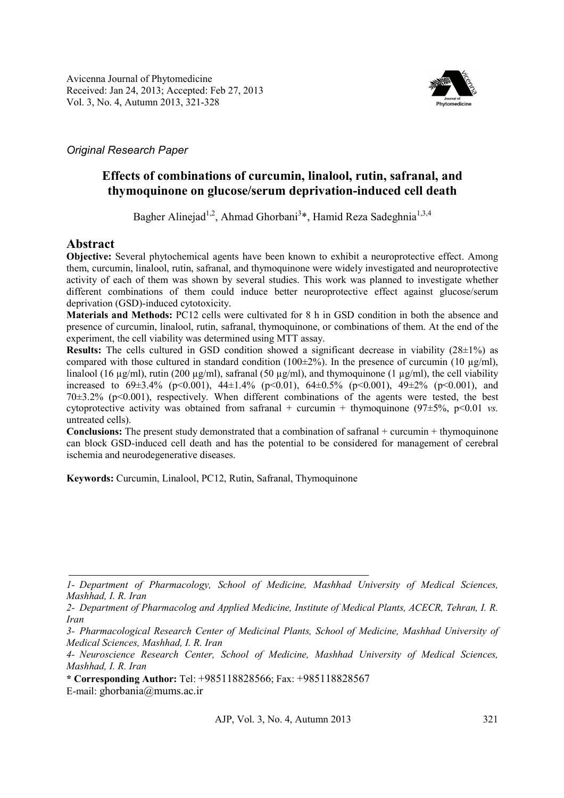

# *Original Research Paper*

# **Effects of combinations of curcumin, linalool, rutin, safranal, and thymoquinone on glucose/serum deprivation-induced cell death**

Bagher Alinejad<sup>1,2</sup>, Ahmad Ghorbani<sup>3</sup>\*, Hamid Reza Sadeghnia<sup>1,3,4</sup>

## **Abstract**

**Objective:** Several phytochemical agents have been known to exhibit a neuroprotective effect. Among them, curcumin, linalool, rutin, safranal, and thymoquinone were widely investigated and neuroprotective activity of each of them was shown by several studies. This work was planned to investigate whether different combinations of them could induce better neuroprotective effect against glucose/serum deprivation (GSD)-induced cytotoxicity.

**Materials and Methods:** PC12 cells were cultivated for 8 h in GSD condition in both the absence and presence of curcumin, linalool, rutin, safranal, thymoquinone, or combinations of them. At the end of the experiment, the cell viability was determined using MTT assay.

**Results:** The cells cultured in GSD condition showed a significant decrease in viability (28±1%) as compared with those cultured in standard condition (100 $\pm$ 2%). In the presence of curcumin (10  $\mu$ g/ml), linalool (16 µg/ml), rutin (200 µg/ml), safranal (50 µg/ml), and thymoquinone (1 µg/ml), the cell viability increased to  $69\pm3.4\%$  (p<0.001),  $44\pm1.4\%$  (p<0.01),  $64\pm0.5\%$  (p<0.001),  $49\pm2\%$  (p<0.001), and  $70\pm3.2\%$  (p<0.001), respectively. When different combinations of the agents were tested, the best cytoprotective activity was obtained from safranal + curcumin + thymoquinone  $(97\pm5\%, p<0.01 \text{ vs.})$ untreated cells).

**Conclusions:** The present study demonstrated that a combination of safranal + curcumin + thymoquinone can block GSD-induced cell death and has the potential to be considered for management of cerebral ischemia and neurodegenerative diseases.

**Keywords:** Curcumin, Linalool, PC12, Rutin, Safranal, Thymoquinone

*<sup>1-</sup> Department of Pharmacology, School of Medicine, Mashhad University of Medical Sciences, Mashhad, I. R. Iran* 

*<sup>2-</sup> Department of Pharmacolog and Applied Medicine, Institute of Medical Plants, ACECR, Tehran, I. R. Iran* 

*<sup>3-</sup> Pharmacological Research Center of Medicinal Plants, School of Medicine, Mashhad University of Medical Sciences, Mashhad, I. R. Iran* 

*<sup>4-</sup> Neuroscience Research Center, School of Medicine, Mashhad University of Medical Sciences, Mashhad, I. R. Iran* 

**<sup>\*</sup> Corresponding Author:** Tel: +985118828566; Fax: +985118828567 E-mail: ghorbania@mums.ac.ir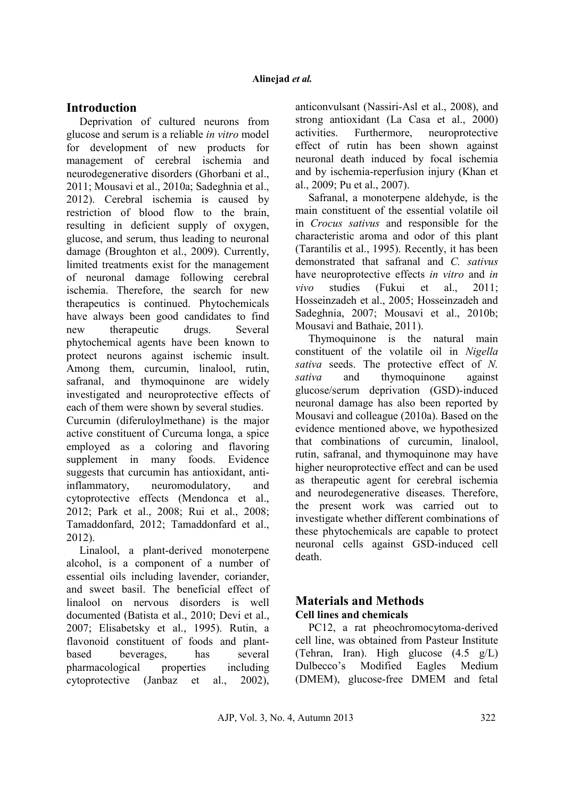## **Introduction**

Deprivation of cultured neurons from glucose and serum is a reliable *in vitro* model for development of new products for management of cerebral ischemia and neurodegenerative disorders (Ghorbani et al., 2011; Mousavi et al., 2010a; Sadeghnia et al., 2012). Cerebral ischemia is caused by restriction of blood flow to the brain, resulting in deficient supply of oxygen, glucose, and serum, thus leading to neuronal damage (Broughton et al., 2009). Currently, limited treatments exist for the management of neuronal damage following cerebral ischemia. Therefore, the search for new therapeutics is continued. Phytochemicals have always been good candidates to find new therapeutic drugs. Several phytochemical agents have been known to protect neurons against ischemic insult. Among them, curcumin, linalool, rutin, safranal, and thymoquinone are widely investigated and neuroprotective effects of each of them were shown by several studies.

Curcumin (diferuloylmethane) is the major active constituent of Curcuma longa, a spice employed as a coloring and flavoring supplement in many foods. Evidence suggests that curcumin has antioxidant, antiinflammatory, neuromodulatory, and cytoprotective effects (Mendonca et al., 2012; Park et al., 2008; Rui et al., 2008; Tamaddonfard, 2012; Tamaddonfard et al., 2012).

Linalool, a plant-derived monoterpene alcohol, is a component of a number of essential oils including lavender, coriander, and sweet basil. The beneficial effect of linalool on nervous disorders is well documented (Batista et al., 2010; Devi et al., 2007; Elisabetsky et al., 1995). Rutin, a flavonoid constituent of foods and plantbased beverages, has several pharmacological properties including cytoprotective (Janbaz et al., 2002),

anticonvulsant (Nassiri-Asl et al., 2008), and strong antioxidant (La Casa et al., 2000) activities. Furthermore, neuroprotective effect of rutin has been shown against neuronal death induced by focal ischemia and by ischemia-reperfusion injury (Khan et al., 2009; Pu et al., 2007).

Safranal, a monoterpene aldehyde, is the main constituent of the essential volatile oil in *Crocus sativus* and responsible for the characteristic aroma and odor of this plant (Tarantilis et al., 1995). Recently, it has been demonstrated that safranal and *C. sativus* have neuroprotective effects *in vitro* and *in vivo* studies (Fukui et al., 2011; Hosseinzadeh et al., 2005; Hosseinzadeh and Sadeghnia, 2007; Mousavi et al., 2010b; Mousavi and Bathaie, 2011).

Thymoquinone is the natural main constituent of the volatile oil in *Nigella sativa* seeds. The protective effect of *N. sativa* and thymoquinone against glucose/serum deprivation (GSD)-induced neuronal damage has also been reported by Mousavi and colleague (2010a). Based on the evidence mentioned above, we hypothesized that combinations of curcumin, linalool, rutin, safranal, and thymoquinone may have higher neuroprotective effect and can be used as therapeutic agent for cerebral ischemia and neurodegenerative diseases. Therefore, the present work was carried out to investigate whether different combinations of these phytochemicals are capable to protect neuronal cells against GSD-induced cell death.

## **Materials and Methods Cell lines and chemicals**

PC12, a rat pheochromocytoma-derived cell line, was obtained from Pasteur Institute (Tehran, Iran). High glucose (4.5 g/L) Dulbecco's Modified Eagles Medium (DMEM), glucose-free DMEM and fetal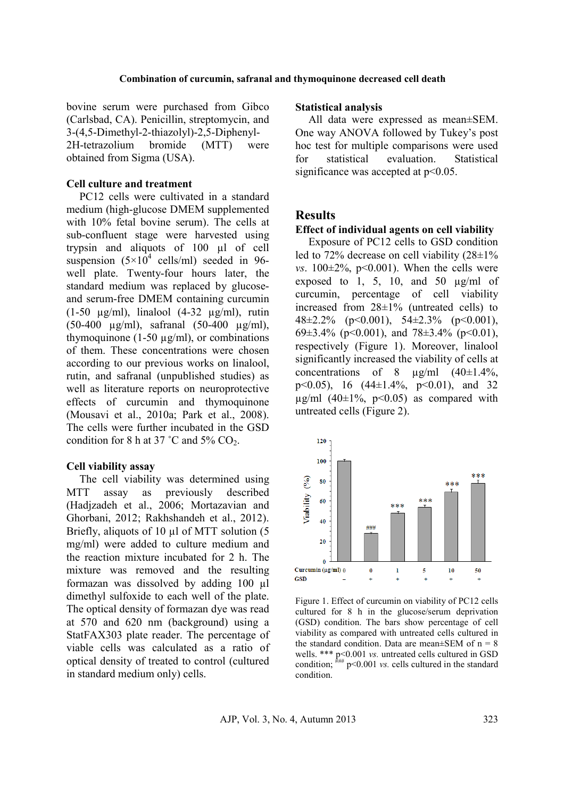### **Combination of curcumin, safranal and thymoquinone decreased cell death**

bovine serum were purchased from Gibco (Carlsbad, CA). Penicillin, streptomycin, and 3-(4,5-Dimethyl-2-thiazolyl)-2,5-Diphenyl-2H-tetrazolium bromide (MTT) were obtained from Sigma (USA).

## **Cell culture and treatment**

PC12 cells were cultivated in a standard medium (high-glucose DMEM supplemented with 10% fetal bovine serum). The cells at sub-confluent stage were harvested using trypsin and aliquots of 100 µl of cell suspension  $(5\times10^4 \text{ cells/ml})$  seeded in 96well plate. Twenty-four hours later, the standard medium was replaced by glucoseand serum-free DMEM containing curcumin (1-50 µg/ml), linalool (4-32 µg/ml), rutin (50-400 µg/ml), safranal (50-400 µg/ml), thymoquinone (1-50  $\mu$ g/ml), or combinations of them. These concentrations were chosen according to our previous works on linalool, rutin, and safranal (unpublished studies) as well as literature reports on neuroprotective effects of curcumin and thymoquinone (Mousavi et al., 2010a; Park et al., 2008). The cells were further incubated in the GSD condition for 8 h at 37 °C and 5%  $CO<sub>2</sub>$ .

### **Cell viability assay**

The cell viability was determined using MTT assay as previously described (Hadjzadeh et al., 2006; Mortazavian and Ghorbani, 2012; Rakhshandeh et al., 2012). Briefly, aliquots of 10 µl of MTT solution (5 mg/ml) were added to culture medium and the reaction mixture incubated for 2 h. The mixture was removed and the resulting formazan was dissolved by adding 100 µl dimethyl sulfoxide to each well of the plate. The optical density of formazan dye was read at 570 and 620 nm (background) using a StatFAX303 plate reader. The percentage of viable cells was calculated as a ratio of optical density of treated to control (cultured in standard medium only) cells.

#### **Statistical analysis**

All data were expressed as mean±SEM. One way ANOVA followed by Tukey's post hoc test for multiple comparisons were used for statistical evaluation. Statistical significance was accepted at  $p<0.05$ .

## **Results**

#### **Effect of individual agents on cell viability**

Exposure of PC12 cells to GSD condition led to 72% decrease on cell viability (28±1% *vs.*  $100 \pm 2\%$ ,  $p < 0.001$ ). When the cells were exposed to 1, 5, 10, and 50  $\mu$ g/ml of curcumin, percentage of cell viability increased from  $28\pm1\%$  (untreated cells) to 48 $\pm$ 2.2% (p<0.001), 54 $\pm$ 2.3% (p<0.001), 69 $\pm$ 3.4% (p<0.001), and 78 $\pm$ 3.4% (p<0.01), respectively (Figure 1). Moreover, linalool significantly increased the viability of cells at concentrations of 8  $\mu$ g/ml (40±1.4%, p<0.05), 16  $(44\pm1.4\%$ , p<0.01), and 32  $\mu$ g/ml (40±1%, p<0.05) as compared with untreated cells (Figure 2).



Figure 1. Effect of curcumin on viability of PC12 cells cultured for 8 h in the glucose/serum deprivation (GSD) condition. The bars show percentage of cell viability as compared with untreated cells cultured in the standard condition. Data are mean $\pm$ SEM of n = 8 wells. \*\*\* p<0.001 *vs.* untreated cells cultured in GSD condition;  $\lim_{k \to \infty} p \le 0.001$  *vs.* cells cultured in the standard condition.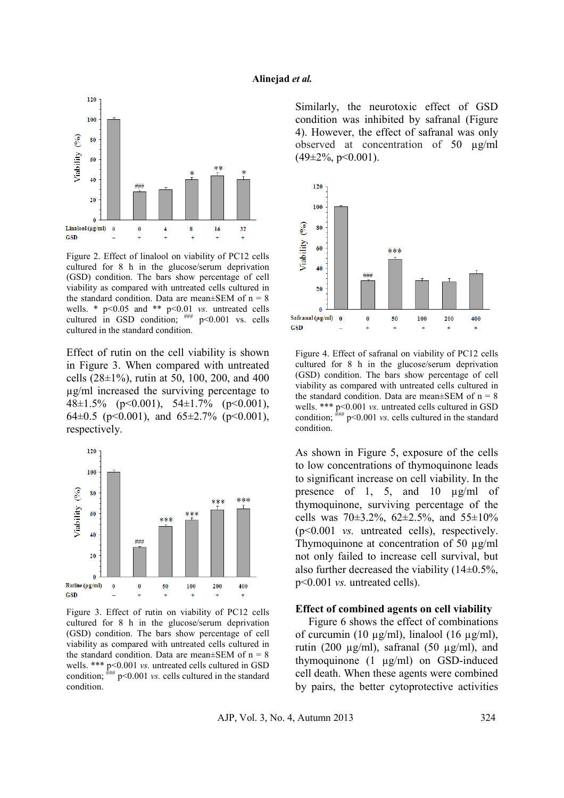

Figure 2. Effect of linalool on viability of PC12 cells cultured for 8 h in the glucose/serum deprivation (GSD) condition. The bars show percentage of cell viability as compared with untreated cells cultured in the standard condition. Data are mean $\pm$ SEM of n = 8 wells. \* p<0.05 and \*\* p<0.01 *vs.* untreated cells cultured in GSD condition;  $\frac{1}{1 + m}$  p<0.001 vs. cells cultured in the standard condition.

Effect of rutin on the cell viability is shown in Figure 3. When compared with untreated cells  $(28\pm1\%)$ , rutin at 50, 100, 200, and 400 µg/ml increased the surviving percentage to 48 $\pm$ 1.5% (p<0.001), 54 $\pm$ 1.7% (p<0.001), 64 $\pm$ 0.5 (p<0.001), and 65 $\pm$ 2.7% (p<0.001), respectively.



Figure 3. Effect of rutin on viability of PC12 cells cultured for 8 h in the glucose/serum deprivation (GSD) condition. The bars show percentage of cell viability as compared with untreated cells cultured in the standard condition. Data are mean $\pm$ SEM of n = 8 wells. \*\*\* p<0.001 *vs.* untreated cells cultured in GSD condition;  $\lim_{k \to \infty} p \le 0.001$  *vs.* cells cultured in the standard condition.

Similarly, the neurotoxic effect of GSD condition was inhibited by safranal (Figure 4). However, the effect of safranal was only observed at concentration of 50 µg/ml  $(49\pm2\%, p<0.001)$ .



Figure 4. Effect of safranal on viability of PC12 cells cultured for 8 h in the glucose/serum deprivation (GSD) condition. The bars show percentage of cell viability as compared with untreated cells cultured in the standard condition. Data are mean $\pm$ SEM of n = 8 wells. \*\*\* p<0.001 *vs.* untreated cells cultured in GSD condition;  $\lim_{k \to \infty} p \le 0.001$  *vs.* cells cultured in the standard condition.

As shown in Figure 5, exposure of the cells to low concentrations of thymoquinone leads to significant increase on cell viability. In the presence of 1, 5, and 10  $\mu$ g/ml of thymoquinone, surviving percentage of the cells was  $70\pm3.2\%$ ,  $62\pm2.5\%$ , and  $55\pm10\%$ (p<0.001 *vs.* untreated cells), respectively. Thymoquinone at concentration of 50  $\mu$ g/ml not only failed to increase cell survival, but also further decreased the viability  $(14\pm0.5\%$ , p<0.001 *vs.* untreated cells).

### **Effect of combined agents on cell viability**

Figure 6 shows the effect of combinations of curcumin (10  $\mu$ g/ml), linalool (16  $\mu$ g/ml), rutin (200  $\mu$ g/ml), safranal (50  $\mu$ g/ml), and thymoquinone (1 µg/ml) on GSD-induced cell death. When these agents were combined by pairs, the better cytoprotective activities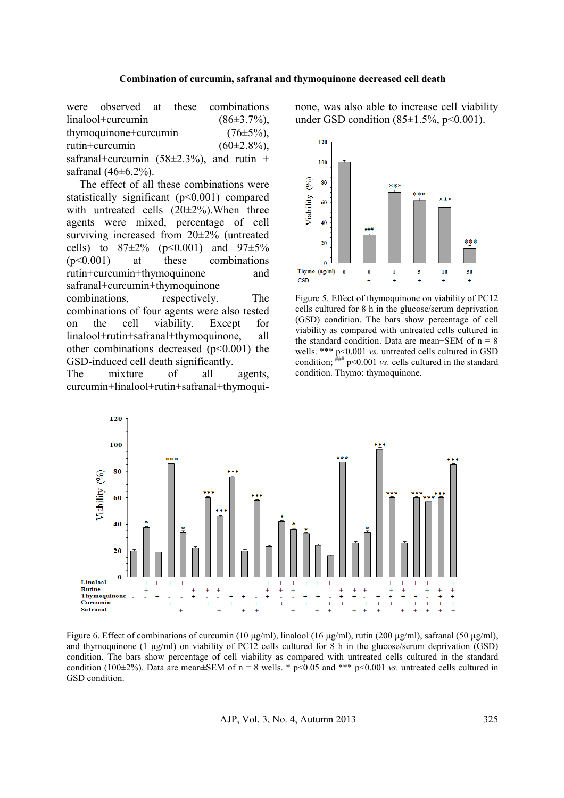### **Combination of curcumin, safranal and thymoquinone decreased cell death**

were observed at these combinations  $\text{linalool}+\text{curcumin}$  (86 $\pm$ 3.7%), thymoquinone+curcumin  $(76±5%)$ , rutin+curcumin  $(60\pm2.8\%)$ , safranal+curcumin (58 $\pm$ 2.3%), and rutin + safranal  $(46 \pm 6.2\%)$ .

The effect of all these combinations were statistically significant (p<0.001) compared with untreated cells  $(20\pm2\%)$ . When three agents were mixed, percentage of cell surviving increased from 20±2% (untreated cells) to  $87\pm2\%$  (p<0.001) and  $97\pm5\%$ (p<0.001) at these combinations rutin+curcumin+thymoquinone and safranal+curcumin+thymoquinone combinations, respectively. The combinations of four agents were also tested on the cell viability. Except for linalool+rutin+safranal+thymoquinone, all other combinations decreased  $(p<0.001)$  the GSD-induced cell death significantly.

The mixture of all agents, curcumin+linalool+rutin+safranal+thymoquinone, was also able to increase cell viability under GSD condition  $(85\pm1.5\%, p<0.001)$ .



Figure 5. Effect of thymoquinone on viability of PC12 cells cultured for 8 h in the glucose/serum deprivation (GSD) condition. The bars show percentage of cell viability as compared with untreated cells cultured in the standard condition. Data are mean $\pm$ SEM of n = 8 wells. \*\*\* p<0.001 *vs.* untreated cells cultured in GSD condition;  $\frac{m}{m}$  p<0.001 *vs.* cells cultured in the standard condition. Thymo: thymoquinone.



Figure 6. Effect of combinations of curcumin (10 µg/ml), linalool (16 µg/ml), rutin (200 µg/ml), safranal (50 µg/ml), and thymoquinone (1 µg/ml) on viability of PC12 cells cultured for 8 h in the glucose/serum deprivation (GSD) condition. The bars show percentage of cell viability as compared with untreated cells cultured in the standard condition (100 $\pm$ 2%). Data are mean $\pm$ SEM of n = 8 wells. \* p<0.05 and \*\*\* p<0.001 *vs.* untreated cells cultured in GSD condition.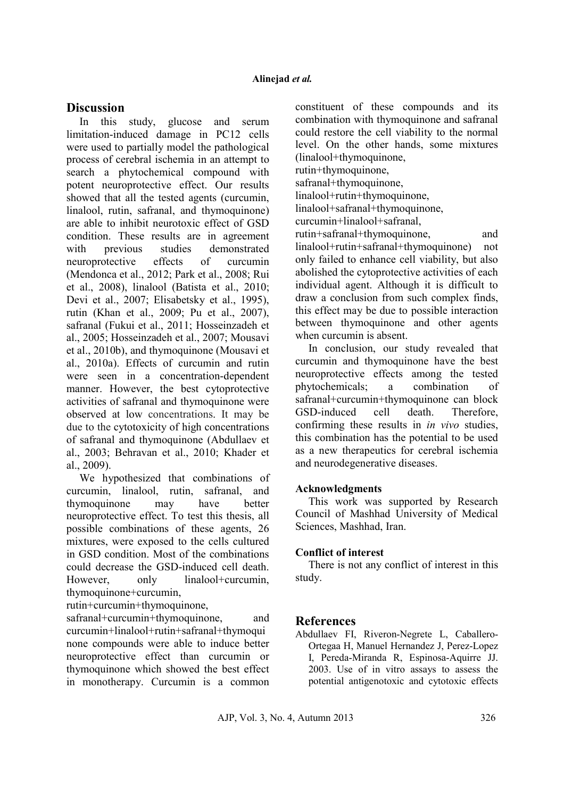# **Discussion**

In this study, glucose and serum limitation-induced damage in PC12 cells were used to partially model the pathological process of cerebral ischemia in an attempt to search a phytochemical compound with potent neuroprotective effect. Our results showed that all the tested agents (curcumin, linalool, rutin, safranal, and thymoquinone) are able to inhibit neurotoxic effect of GSD condition. These results are in agreement with previous studies demonstrated neuroprotective effects of curcumin (Mendonca et al., 2012; Park et al., 2008; Rui et al., 2008), linalool (Batista et al., 2010; Devi et al., 2007; Elisabetsky et al., 1995), rutin (Khan et al., 2009; Pu et al., 2007), safranal (Fukui et al., 2011; Hosseinzadeh et al., 2005; Hosseinzadeh et al., 2007; Mousavi et al., 2010b), and thymoquinone (Mousavi et al., 2010a). Effects of curcumin and rutin were seen in a concentration-dependent manner. However, the best cytoprotective activities of safranal and thymoquinone were observed at low concentrations. It may be due to the cytotoxicity of high concentrations of safranal and thymoquinone (Abdullaev et al., 2003; Behravan et al., 2010; Khader et al., 2009).

We hypothesized that combinations of curcumin, linalool, rutin, safranal, and thymoquinone may have better neuroprotective effect. To test this thesis, all possible combinations of these agents, 26 mixtures, were exposed to the cells cultured in GSD condition. Most of the combinations could decrease the GSD-induced cell death. However, only linalool+curcumin, thymoquinone+curcumin,

rutin+curcumin+thymoquinone,

safranal+curcumin+thymoquinone, and curcumin+linalool+rutin+safranal+thymoqui none compounds were able to induce better neuroprotective effect than curcumin or thymoquinone which showed the best effect in monotherapy. Curcumin is a common

constituent of these compounds and its combination with thymoquinone and safranal could restore the cell viability to the normal level. On the other hands, some mixtures (linalool+thymoquinone, rutin+thymoquinone,

safranal+thymoquinone,

linalool+rutin+thymoquinone, linalool+safranal+thymoquinone,

curcumin+linalool+safranal,

rutin+safranal+thymoquinone, and

linalool+rutin+safranal+thymoquinone) not only failed to enhance cell viability, but also abolished the cytoprotective activities of each individual agent. Although it is difficult to draw a conclusion from such complex finds, this effect may be due to possible interaction between thymoquinone and other agents when curcumin is absent.

In conclusion, our study revealed that curcumin and thymoquinone have the best neuroprotective effects among the tested phytochemicals; a combination of safranal+curcumin+thymoquinone can block GSD-induced cell death. Therefore, confirming these results in *in vivo* studies, this combination has the potential to be used as a new therapeutics for cerebral ischemia and neurodegenerative diseases.

## **Acknowledgments**

This work was supported by Research Council of Mashhad University of Medical Sciences, Mashhad, Iran.

### **Conflict of interest**

There is not any conflict of interest in this study.

## **References**

Abdullaev FI, Riveron-Negrete L, Caballero-Ortegaa H, Manuel Hernandez J, Perez-Lopez I, Pereda-Miranda R, Espinosa-Aquirre JJ. 2003. Use of in vitro assays to assess the potential antigenotoxic and cytotoxic effects

AJP, Vol. 3, No. 4, Autumn 2013 326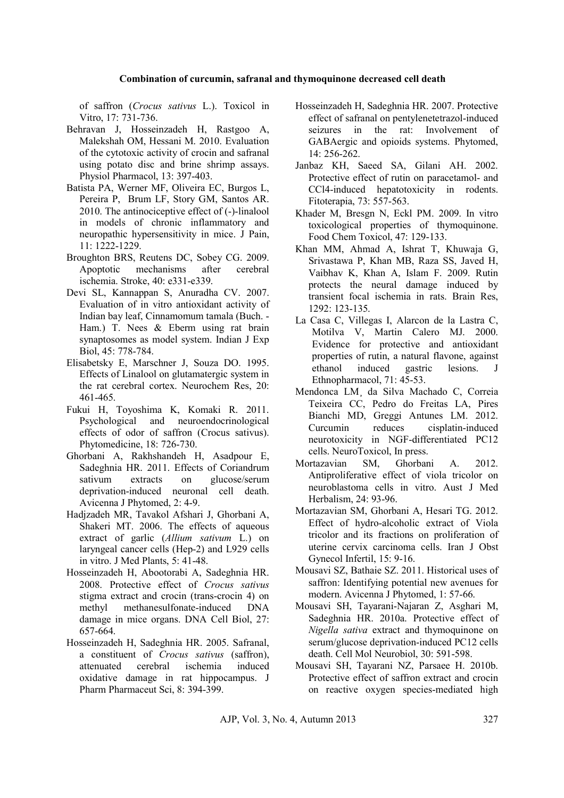### **Combination of curcumin, safranal and thymoquinone decreased cell death**

of saffron (*Crocus sativus* L.). Toxicol in Vitro, 17: 731-736.

- Behravan J, Hosseinzadeh H, Rastgoo A, Malekshah OM, Hessani M. 2010. Evaluation of the cytotoxic activity of crocin and safranal using potato disc and brine shrimp assays. Physiol Pharmacol, 13: 397-403.
- Batista PA, Werner MF, Oliveira EC, Burgos L, Pereira P, Brum LF, Story GM, Santos AR. 2010. The antinociceptive effect of (-)-linalool in models of chronic inflammatory and neuropathic hypersensitivity in mice. J Pain, 11: 1222-1229.
- Broughton BRS, Reutens DC, Sobey CG. 2009. Apoptotic mechanisms after cerebral ischemia. Stroke, 40: e331-e339.
- Devi SL, Kannappan S, Anuradha CV. 2007. Evaluation of in vitro antioxidant activity of Indian bay leaf, Cinnamomum tamala (Buch. - Ham.) T. Nees & Eberm using rat brain synaptosomes as model system. Indian J Exp Biol, 45: 778-784.
- Elisabetsky E, Marschner J, Souza DO. 1995. Effects of Linalool on glutamatergic system in the rat cerebral cortex. Neurochem Res, 20: 461-465.
- Fukui H, Toyoshima K, Komaki R. 2011. Psychological and neuroendocrinological effects of odor of saffron (Crocus sativus). Phytomedicine, 18: 726-730.
- Ghorbani A, Rakhshandeh H, Asadpour E, Sadeghnia HR. 2011. Effects of Coriandrum sativum extracts on glucose/serum deprivation-induced neuronal cell death. Avicenna J Phytomed, 2: 4-9.
- Hadjzadeh MR, Tavakol Afshari J, Ghorbani A, Shakeri MT. 2006. The effects of aqueous extract of garlic (*Allium sativum* L.) on laryngeal cancer cells (Hep-2) and L929 cells in vitro. J Med Plants, 5: 41-48.
- Hosseinzadeh H, Abootorabi A, Sadeghnia HR. 2008. Protective effect of *Crocus sativus* stigma extract and crocin (trans-crocin 4) on methyl methanesulfonate-induced DNA damage in mice organs. DNA Cell Biol, 27: 657-664.
- Hosseinzadeh H, Sadeghnia HR. 2005. Safranal, a constituent of *Crocus sativus* (saffron), attenuated cerebral ischemia oxidative damage in rat hippocampus. J Pharm Pharmaceut Sci, 8: 394-399.
- Hosseinzadeh H, Sadeghnia HR. 2007. Protective effect of safranal on pentylenetetrazol-induced seizures in the rat: Involvement of GABAergic and opioids systems. Phytomed, 14: 256-262.
- Janbaz KH, Saeed SA, Gilani AH. 2002. Protective effect of rutin on paracetamol- and CCl4-induced hepatotoxicity in rodents. Fitoterapia, 73: 557-563.
- Khader M, Bresgn N, Eckl PM. 2009. In vitro toxicological properties of thymoquinone. Food Chem Toxicol, 47: 129-133.
- Khan MM, Ahmad A, Ishrat T, Khuwaja G, Srivastawa P, Khan MB, Raza SS, Javed H, Vaibhav K, Khan A, Islam F. 2009. Rutin protects the neural damage induced by transient focal ischemia in rats. Brain Res, 1292: 123-135.
- La Casa C, Villegas I, Alarcon de la Lastra C, Motilva V, Martin Calero MJ. 2000. Evidence for protective and antioxidant properties of rutin, a natural flavone, against ethanol induced gastric lesions. J Ethnopharmacol, 71: 45-53.
- Mendonca LM¸ da Silva Machado C, Correia Teixeira CC, Pedro do Freitas LA, Pires Bianchi MD, Greggi Antunes LM. 2012. Curcumin reduces cisplatin-induced neurotoxicity in NGF-differentiated PC12 cells. NeuroToxicol, In press.
- Mortazavian SM, Ghorbani A. 2012. Antiproliferative effect of viola tricolor on neuroblastoma cells in vitro. Aust J Med Herbalism, 24: 93-96.
- Mortazavian SM, Ghorbani A, Hesari TG. 2012. Effect of hydro-alcoholic extract of Viola tricolor and its fractions on proliferation of uterine cervix carcinoma cells. Iran J Obst Gynecol Infertil, 15: 9-16.
- Mousavi SZ, Bathaie SZ. 2011. Historical uses of saffron: Identifying potential new avenues for modern. Avicenna J Phytomed, 1: 57-66.
- Mousavi SH, Tayarani-Najaran Z, Asghari M, Sadeghnia HR. 2010a. Protective effect of *Nigella sativa* extract and thymoquinone on serum/glucose deprivation-induced PC12 cells death. Cell Mol Neurobiol, 30: 591-598.
- Mousavi SH, Tayarani NZ, Parsaee H. 2010b. Protective effect of saffron extract and crocin on reactive oxygen species-mediated high

AJP, Vol. 3, No. 4, Autumn 2013 327